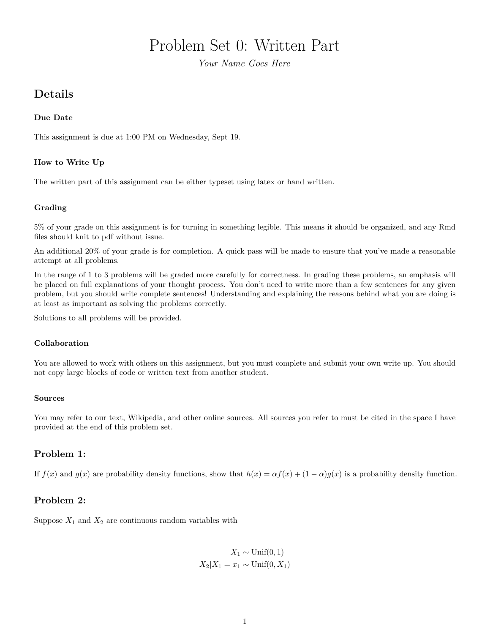# Problem Set 0: Written Part

*Your Name Goes Here*

# **Details**

#### **Due Date**

This assignment is due at 1:00 PM on Wednesday, Sept 19.

## **How to Write Up**

The written part of this assignment can be either typeset using latex or hand written.

#### **Grading**

5% of your grade on this assignment is for turning in something legible. This means it should be organized, and any Rmd files should knit to pdf without issue.

An additional 20% of your grade is for completion. A quick pass will be made to ensure that you've made a reasonable attempt at all problems.

In the range of 1 to 3 problems will be graded more carefully for correctness. In grading these problems, an emphasis will be placed on full explanations of your thought process. You don't need to write more than a few sentences for any given problem, but you should write complete sentences! Understanding and explaining the reasons behind what you are doing is at least as important as solving the problems correctly.

Solutions to all problems will be provided.

#### **Collaboration**

You are allowed to work with others on this assignment, but you must complete and submit your own write up. You should not copy large blocks of code or written text from another student.

#### **Sources**

You may refer to our text, Wikipedia, and other online sources. All sources you refer to must be cited in the space I have provided at the end of this problem set.

# **Problem 1:**

If  $f(x)$  and  $g(x)$  are probability density functions, show that  $h(x) = \alpha f(x) + (1 - \alpha)g(x)$  is a probability density function.

## **Problem 2:**

Suppose  $X_1$  and  $X_2$  are continuous random variables with

$$
X_1 \sim \text{Unif}(0, 1)
$$

$$
X_2 | X_1 = x_1 \sim \text{Unif}(0, X_1)
$$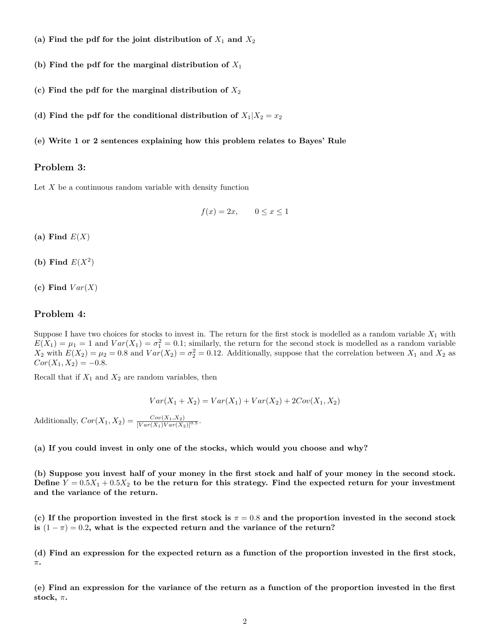- (a) Find the pdf for the joint distribution of  $X_1$  and  $X_2$
- (b) Find the pdf for the marginal distribution of  $X_1$
- **(c) Find the pdf for the marginal distribution of** *X*<sup>2</sup>
- (d) Find the pdf for the conditional distribution of  $X_1|X_2=x_2$
- **(e) Write 1 or 2 sentences explaining how this problem relates to Bayes' Rule**

#### **Problem 3:**

Let *X* be a continuous random variable with density function

$$
f(x) = 2x, \qquad 0 \le x \le 1
$$

**(a) Find** *E*(*X*)

- (b) Find  $E(X^2)$
- (c) Find  $Var(X)$

#### **Problem 4:**

Suppose I have two choices for stocks to invest in. The return for the first stock is modelled as a random variable  $X_1$  with  $E(X_1) = \mu_1 = 1$  and  $Var(X_1) = \sigma_1^2 = 0.1$ ; similarly, the return for the second stock is modelled as a random variable  $X_2$  with  $E(X_2) = \mu_2 = 0.8$  and  $Var(X_2) = \sigma_2^2 = 0.12$ . Additionally, suppose that the correlation between  $X_1$  and  $X_2$  as  $Cor(X_1, X_2) = -0.8$ .

Recall that if  $X_1$  and  $X_2$  are random variables, then

$$
Var(X_1 + X_2) = Var(X_1) + Var(X_2) + 2Cov(X_1, X_2)
$$

Additionally,  $Cor(X_1, X_2) = \frac{Cov(X_1, X_2)}{[Var(X_1)Var(X_2)]^{0.5}}$ .

**(a) If you could invest in only one of the stocks, which would you choose and why?**

**(b) Suppose you invest half of your money in the first stock and half of your money in the second stock.** Define  $Y = 0.5X_1 + 0.5X_2$  to be the return for this strategy. Find the expected return for your investment **and the variance of the return.**

**(c) If the proportion invested in the first stock is** *π* = 0*.*8 **and the proportion invested in the second stock is**  $(1 - \pi) = 0.2$ , what is the expected return and the variance of the return?

**(d) Find an expression for the expected return as a function of the proportion invested in the first stock,** *π***.**

**(e) Find an expression for the variance of the return as a function of the proportion invested in the first** stock,  $\pi$ .